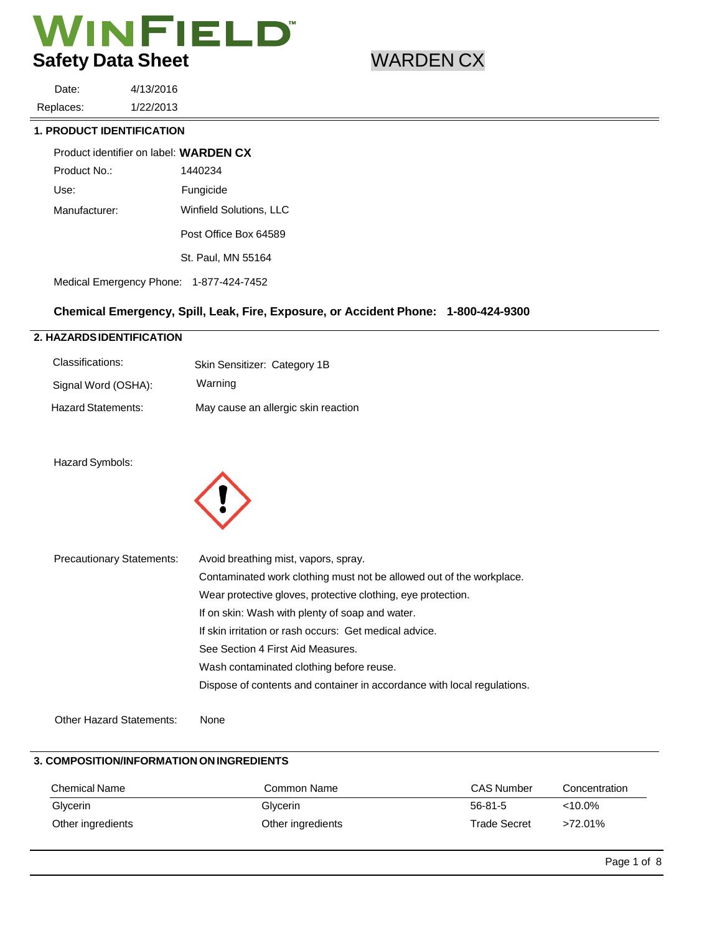Date: Replaces: 4/13/2016 1/22/2013

### **1. PRODUCT IDENTIFICATION**

| Product identifier on label: <b>WARDEN CX</b> |                         |
|-----------------------------------------------|-------------------------|
| Product No.:                                  | 1440234                 |
| Use:                                          | Fungicide               |
| Manufacturer:                                 | Winfield Solutions, LLC |
|                                               | Post Office Box 64589   |
|                                               | St. Paul, MN 55164      |
| Medical Emergency Phone: 1-877-424-7452       |                         |

# **Chemical Emergency, Spill, Leak, Fire, Exposure, or Accident Phone: 1-800-424-9300**

### **2. HAZARDS IDENTIFICATION**

| Classifications:    | Skin Sensitizer: Category 1B        |
|---------------------|-------------------------------------|
| Signal Word (OSHA): | Warning                             |
| Hazard Statements:  | May cause an allergic skin reaction |

### Hazard Symbols:



| <b>Precautionary Statements:</b> | Avoid breathing mist, vapors, spray.                                    |
|----------------------------------|-------------------------------------------------------------------------|
|                                  | Contaminated work clothing must not be allowed out of the workplace.    |
|                                  | Wear protective gloves, protective clothing, eye protection.            |
|                                  | If on skin: Wash with plenty of soap and water.                         |
|                                  | If skin irritation or rash occurs: Get medical advice.                  |
|                                  | See Section 4 First Aid Measures.                                       |
|                                  | Wash contaminated clothing before reuse.                                |
|                                  | Dispose of contents and container in accordance with local regulations. |
|                                  |                                                                         |

Other Hazard Statements: None

# **3. COMPOSITION/INFORMATION ON INGREDIENTS**

| Chemical Name     | Common Name       | <b>CAS Number</b>   | Concentration |  |
|-------------------|-------------------|---------------------|---------------|--|
| Glycerin          | Glycerin          | $56 - 81 - 5$       | $< 10.0\%$    |  |
| Other ingredients | Other ingredients | <b>Trade Secret</b> | >72.01%       |  |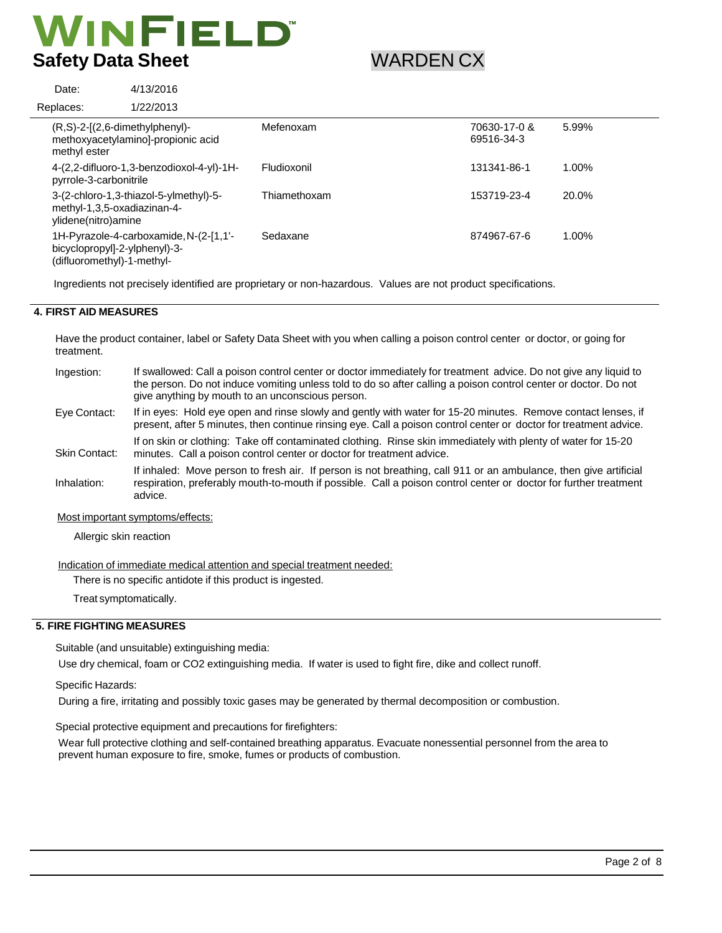4/13/2016

| Date:        | 4/13/2016                                                                                             |              |                            |       |
|--------------|-------------------------------------------------------------------------------------------------------|--------------|----------------------------|-------|
| Replaces:    | 1/22/2013                                                                                             |              |                            |       |
| methyl ester | $(R, S)$ -2- $[(2, 6$ -dimethylphenyl $)$ -<br>methoxyacetylamino]-propionic acid                     | Mefenoxam    | 70630-17-0 &<br>69516-34-3 | 5.99% |
|              | 4-(2,2-difluoro-1,3-benzodioxol-4-yl)-1H-<br>pyrrole-3-carbonitrile                                   | Fludioxonil  | 131341-86-1                | 1.00% |
|              | 3-(2-chloro-1,3-thiazol-5-ylmethyl)-5-<br>methyl-1,3,5-oxadiazinan-4-<br>ylidene(nitro)amine          | Thiamethoxam | 153719-23-4                | 20.0% |
|              | 1H-Pyrazole-4-carboxamide, N-(2-[1,1'-<br>bicyclopropyl]-2-ylphenyl)-3-<br>(difluoromethyl)-1-methyl- | Sedaxane     | 874967-67-6                | 1.00% |
|              |                                                                                                       |              |                            |       |

Ingredients not precisely identified are proprietary or non-hazardous. Values are not product specifications.

# **4. FIRST AID MEASURES**

Date:

Have the product container, label or Safety Data Sheet with you when calling a poison control center or doctor, or going for treatment.

| Ingestion:    | If swallowed: Call a poison control center or doctor immediately for treatment advice. Do not give any liquid to<br>the person. Do not induce vomiting unless told to do so after calling a poison control center or doctor. Do not<br>give anything by mouth to an unconscious person. |
|---------------|-----------------------------------------------------------------------------------------------------------------------------------------------------------------------------------------------------------------------------------------------------------------------------------------|
| Eye Contact:  | If in eyes: Hold eye open and rinse slowly and gently with water for 15-20 minutes. Remove contact lenses, if<br>present, after 5 minutes, then continue rinsing eye. Call a poison control center or doctor for treatment advice.                                                      |
| Skin Contact: | If on skin or clothing: Take off contaminated clothing. Rinse skin immediately with plenty of water for 15-20<br>minutes. Call a poison control center or doctor for treatment advice.                                                                                                  |
| Inhalation:   | If inhaled: Move person to fresh air. If person is not breathing, call 911 or an ambulance, then give artificial<br>respiration, preferably mouth-to-mouth if possible. Call a poison control center or doctor for further treatment<br>advice.                                         |
|               | Most important symptoms/effects:                                                                                                                                                                                                                                                        |

Allergic skin reaction

Indication of immediate medical attention and special treatment needed:

There is no specific antidote if this product is ingested.

Treat symptomatically.

### **5. FIRE FIGHTING MEASURES**

Suitable (and unsuitable) extinguishing media:

Use dry chemical, foam or CO2 extinguishing media. If water is used to fight fire, dike and collect runoff.

Specific Hazards:

During a fire, irritating and possibly toxic gases may be generated by thermal decomposition or combustion.

Special protective equipment and precautions for firefighters:

Wear full protective clothing and self-contained breathing apparatus. Evacuate nonessential personnel from the area to prevent human exposure to fire, smoke, fumes or products of combustion.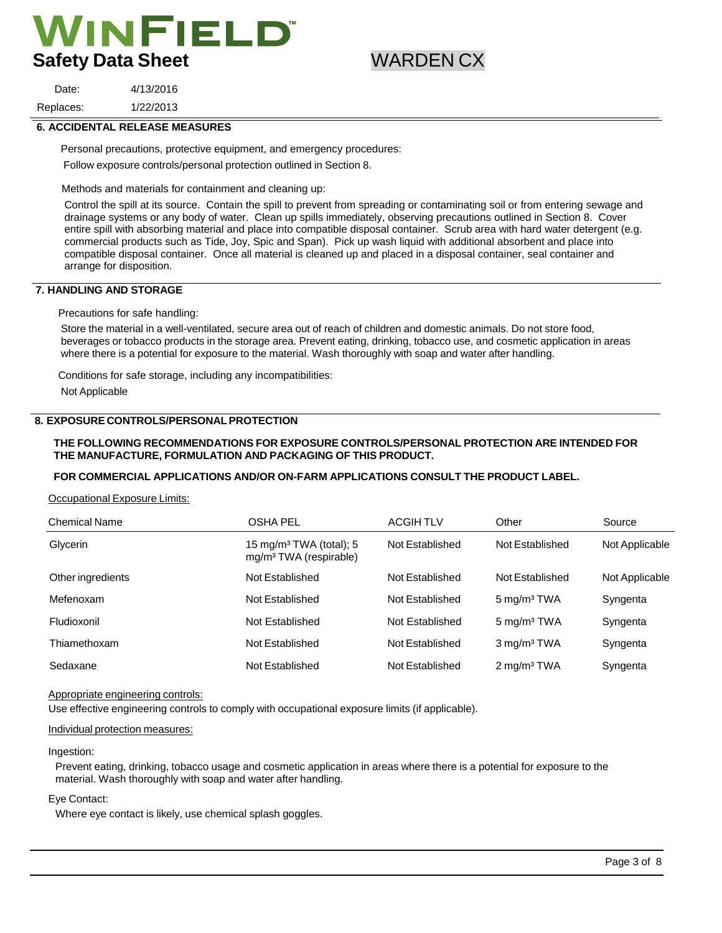4/13/2016

Replaces: 1/22/2013

Date:

### **6. ACCIDENTAL RELEASE MEASURES**

Personal precautions, protective equipment, and emergency procedures:

Follow exposure controls/personal protection outlined in Section 8.

Methods and materials for containment and cleaning up:

Control the spill at its source. Contain the spill to prevent from spreading or contaminating soil or from entering sewage and drainage systems or any body of water. Clean up spills immediately, observing precautions outlined in Section 8. Cover entire spill with absorbing material and place into compatible disposal container. Scrub area with hard water detergent (e.g. commercial products such as Tide, Joy, Spic and Span). Pick up wash liquid with additional absorbent and place into compatible disposal container. Once all material is cleaned up and placed in a disposal container, seal container and arrange for disposition.

### **7. HANDLING AND STORAGE**

Precautions for safe handling:

Store the material in a well-ventilated, secure area out of reach of children and domestic animals. Do not store food, beverages or tobacco products in the storage area. Prevent eating, drinking, tobacco use, and cosmetic application in areas where there is a potential for exposure to the material. Wash thoroughly with soap and water after handling.

Conditions for safe storage, including any incompatibilities:

Not Applicable

### **8. EXPOSURE CONTROLS/PERSONAL PROTECTION**

### **THE FOLLOWING RECOMMENDATIONS FOR EXPOSURE CONTROLS/PERSONAL PROTECTION ARE INTENDED FOR THE MANUFACTURE, FORMULATION AND PACKAGING OF THIS PRODUCT.**

### **FOR COMMERCIAL APPLICATIONS AND/OR ON-FARM APPLICATIONS CONSULT THE PRODUCT LABEL.**

Occupational Exposure Limits:

| <b>Chemical Name</b> | <b>OSHA PEL</b>                                                           | <b>ACGIHTLV</b> | Other                   | Source         |
|----------------------|---------------------------------------------------------------------------|-----------------|-------------------------|----------------|
| Glycerin             | 15 mg/m <sup>3</sup> TWA (total); 5<br>mg/m <sup>3</sup> TWA (respirable) | Not Established | Not Established         | Not Applicable |
| Other ingredients    | Not Established                                                           | Not Established | Not Established         | Not Applicable |
| Mefenoxam            | Not Established                                                           | Not Established | 5 mg/m <sup>3</sup> TWA | Syngenta       |
| Fludioxonil          | Not Established                                                           | Not Established | $5 \text{ mg/m}^3$ TWA  | Syngenta       |
| Thiamethoxam         | Not Established                                                           | Not Established | 3 mg/m <sup>3</sup> TWA | Syngenta       |
| Sedaxane             | Not Established                                                           | Not Established | $2 \text{ mg/m}^3$ TWA  | Syngenta       |

#### Appropriate engineering controls:

Use effective engineering controls to comply with occupational exposure limits (if applicable).

#### Individual protection measures:

#### Ingestion:

Prevent eating, drinking, tobacco usage and cosmetic application in areas where there is a potential for exposure to the material. Wash thoroughly with soap and water after handling.

#### Eye Contact:

Where eye contact is likely, use chemical splash goggles.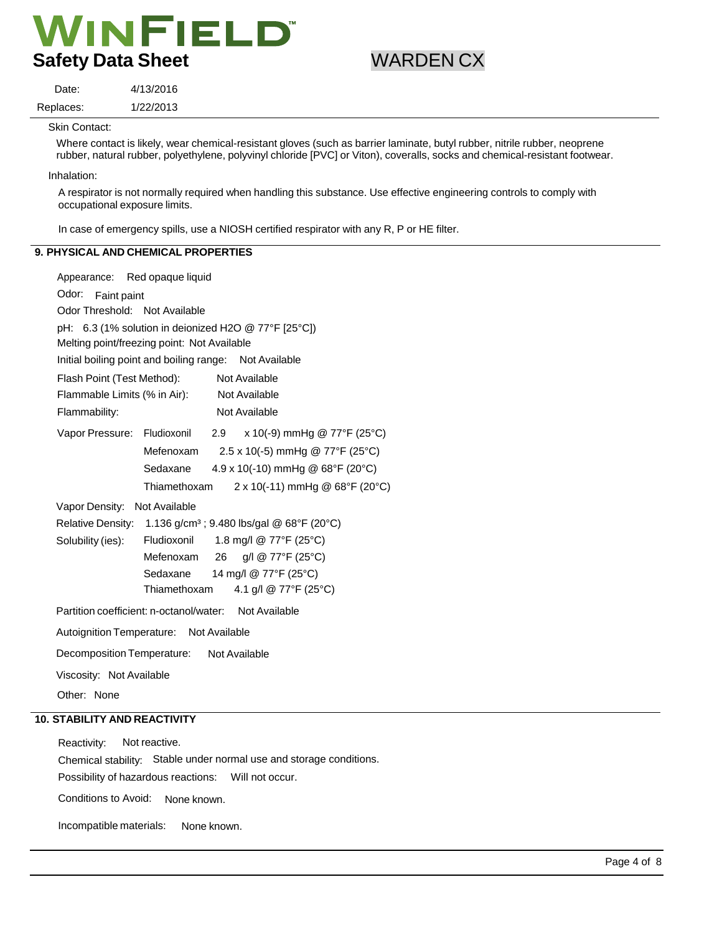4/13/2016 1/22/2013

Skin Contact:

Date: Replaces:

> Where contact is likely, wear chemical-resistant gloves (such as barrier laminate, butyl rubber, nitrile rubber, neoprene rubber, natural rubber, polyethylene, polyvinyl chloride [PVC] or Viton), coveralls, socks and chemical-resistant footwear.

Inhalation:

A respirator is not normally required when handling this substance. Use effective engineering controls to comply with occupational exposure limits.

In case of emergency spills, use a NIOSH certified respirator with any R, P or HE filter.

# **9. PHYSICAL AND CHEMICAL PROPERTIES**

| Appearance: Red opaque liquid                                                     |                                       |     |                                         |  |  |
|-----------------------------------------------------------------------------------|---------------------------------------|-----|-----------------------------------------|--|--|
| Odor:<br>Faint paint                                                              |                                       |     |                                         |  |  |
| Odor Threshold: Not Available                                                     |                                       |     |                                         |  |  |
| pH: 6.3 (1% solution in deionized H2O @ 77°F [25°C])                              |                                       |     |                                         |  |  |
| Melting point/freezing point: Not Available                                       |                                       |     |                                         |  |  |
| Initial boiling point and boiling range: Not Available                            |                                       |     |                                         |  |  |
| Flash Point (Test Method):                                                        |                                       |     | Not Available                           |  |  |
| Flammable Limits (% in Air):                                                      |                                       |     | Not Available                           |  |  |
| Flammability:                                                                     |                                       |     | Not Available                           |  |  |
| Vapor Pressure: Fludioxonil                                                       |                                       | 2.9 | x 10(-9) mmHg @ 77°F (25°C)             |  |  |
|                                                                                   | Mefenoxam                             |     | 2.5 x 10(-5) mmHg @ 77°F (25°C)         |  |  |
|                                                                                   | Sedaxane                              |     | $4.9 \times 10(-10)$ mmHg @ 68°F (20°C) |  |  |
|                                                                                   | Thiamethoxam                          |     | 2 x 10(-11) mmHg @ 68°F (20°C)          |  |  |
| Vapor Density:                                                                    | Not Available                         |     |                                         |  |  |
| 1.136 g/cm <sup>3</sup> ; 9.480 lbs/gal @ 68°F (20°C)<br><b>Relative Density:</b> |                                       |     |                                         |  |  |
| Solubility (ies):                                                                 | 1.8 mg/l @ 77°F (25°C)<br>Fludioxonil |     |                                         |  |  |
|                                                                                   | Mefenoxam                             | 26  | g/l @ 77°F (25°C)                       |  |  |
|                                                                                   | Sedaxane                              |     | 14 mg/l @ 77°F (25°C)                   |  |  |
|                                                                                   | Thiamethoxam                          |     | 4.1 g/l @ 77°F (25°C)                   |  |  |
| Partition coefficient: n-octanol/water: Not Available                             |                                       |     |                                         |  |  |
| Autoignition Temperature: Not Available                                           |                                       |     |                                         |  |  |
| Decomposition Temperature:<br>Not Available                                       |                                       |     |                                         |  |  |
| Viscosity: Not Available                                                          |                                       |     |                                         |  |  |
| Other: None                                                                       |                                       |     |                                         |  |  |

# **10. STABILITY AND REACTIVITY**

Reactivity: Not reactive. Chemical stability: Stable under normal use and storage conditions. Possibility of hazardous reactions: Will not occur.

Conditions to Avoid: None known.

Incompatible materials: None known.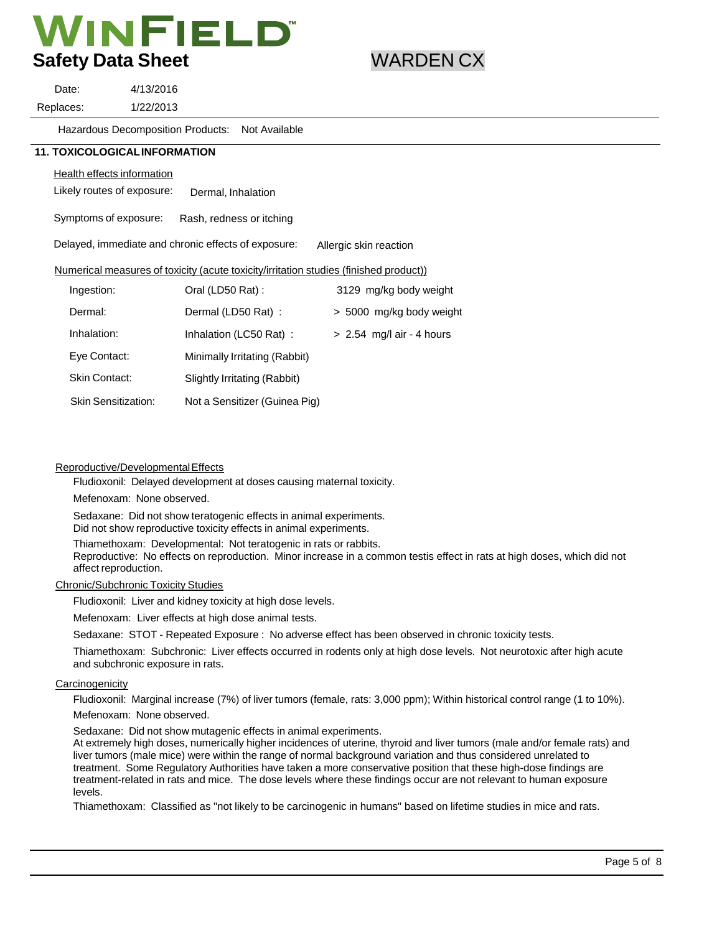Date: Replaces: 4/13/2016 1/22/2013

> Hazardous Decomposition Products: Not Available

### **11. TOXICOLOGICAL INFORMATION**

# Health effects information

Likely routes of exposure: Dermal, Inhalation

Symptoms of exposure: Rash, redness or itching

Delayed, immediate and chronic effects of exposure: Allergic skin reaction

### Numerical measures of toxicity (acute toxicity/irritation studies (finished product))

| Ingestion:                 | Oral (LD50 Rat):              | 3129 mg/kg body weight      |
|----------------------------|-------------------------------|-----------------------------|
| Dermal:                    | Dermal (LD50 Rat):            | > 5000 mg/kg body weight    |
| Inhalation:                | Inhalation (LC50 Rat):        | $> 2.54$ mg/l air - 4 hours |
| Eye Contact:               | Minimally Irritating (Rabbit) |                             |
| Skin Contact:              | Slightly Irritating (Rabbit)  |                             |
| <b>Skin Sensitization:</b> | Not a Sensitizer (Guinea Pig) |                             |

### Reproductive/Developmental Effects

Fludioxonil: Delayed development at doses causing maternal toxicity.

Mefenoxam: None observed.

Sedaxane: Did not show teratogenic effects in animal experiments.

Did not show reproductive toxicity effects in animal experiments.

Thiamethoxam: Developmental: Not teratogenic in rats or rabbits.

Reproductive: No effects on reproduction. Minor increase in a common testis effect in rats at high doses, which did not affect reproduction.

### Chronic/Subchronic Toxicity Studies

Fludioxonil: Liver and kidney toxicity at high dose levels.

Mefenoxam: Liver effects at high dose animal tests.

Sedaxane: STOT - Repeated Exposure : No adverse effect has been observed in chronic toxicity tests.

Thiamethoxam: Subchronic: Liver effects occurred in rodents only at high dose levels. Not neurotoxic after high acute and subchronic exposure in rats.

### **Carcinogenicity**

Fludioxonil: Marginal increase (7%) of liver tumors (female, rats: 3,000 ppm); Within historical control range (1 to 10%). Mefenoxam: None observed.

Sedaxane: Did not show mutagenic effects in animal experiments.

At extremely high doses, numerically higher incidences of uterine, thyroid and liver tumors (male and/or female rats) and liver tumors (male mice) were within the range of normal background variation and thus considered unrelated to treatment. Some Regulatory Authorities have taken a more conservative position that these high-dose findings are treatment-related in rats and mice. The dose levels where these findings occur are not relevant to human exposure levels.

Thiamethoxam: Classified as "not likely to be carcinogenic in humans" based on lifetime studies in mice and rats.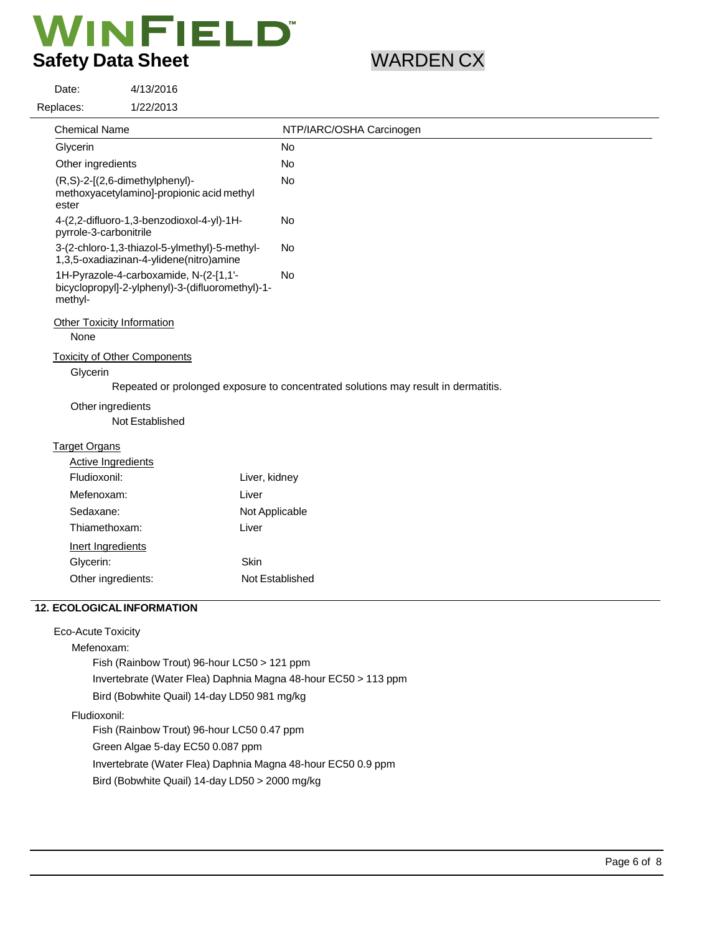4/13/2016

Date:

| 1/22/2013<br>Replaces:                                                                                |                                                                                    |
|-------------------------------------------------------------------------------------------------------|------------------------------------------------------------------------------------|
| <b>Chemical Name</b>                                                                                  | NTP/IARC/OSHA Carcinogen                                                           |
| Glycerin                                                                                              | No                                                                                 |
| Other ingredients                                                                                     | No                                                                                 |
| (R,S)-2-[(2,6-dimethylphenyl)-<br>methoxyacetylamino]-propionic acid methyl<br>ester                  | <b>No</b>                                                                          |
| 4-(2,2-difluoro-1,3-benzodioxol-4-yl)-1H-<br>pyrrole-3-carbonitrile                                   | No                                                                                 |
| 3-(2-chloro-1,3-thiazol-5-ylmethyl)-5-methyl-<br>1,3,5-oxadiazinan-4-ylidene(nitro)amine              | <b>No</b>                                                                          |
| 1H-Pyrazole-4-carboxamide, N-(2-[1,1'-<br>bicyclopropyl]-2-ylphenyl)-3-(difluoromethyl)-1-<br>methyl- | No                                                                                 |
| <b>Other Toxicity Information</b>                                                                     |                                                                                    |
| None                                                                                                  |                                                                                    |
| <b>Toxicity of Other Components</b>                                                                   |                                                                                    |
| Glycerin                                                                                              |                                                                                    |
|                                                                                                       | Repeated or prolonged exposure to concentrated solutions may result in dermatitis. |
| Other ingredients<br>Not Established                                                                  |                                                                                    |
| <b>Target Organs</b>                                                                                  |                                                                                    |
| Active Ingredients                                                                                    |                                                                                    |
| Fludioxonil:                                                                                          | Liver, kidney                                                                      |
| Mefenoxam:                                                                                            | Liver                                                                              |
| Sedaxane:                                                                                             | Not Applicable                                                                     |
| Thiamethoxam:                                                                                         | Liver                                                                              |
| Inert Ingredients                                                                                     |                                                                                    |
| Glycerin:                                                                                             | Skin                                                                               |
| Other ingredients:                                                                                    | Not Established                                                                    |
| <b>12. ECOLOGICAL INFORMATION</b>                                                                     |                                                                                    |
| <b>Eco-Acute Toxicity</b>                                                                             |                                                                                    |
| Mefenoxam:                                                                                            |                                                                                    |

Fish (Rainbow Trout) 96-hour LC50 > 121 ppm

Invertebrate (Water Flea) Daphnia Magna 48-hour EC50 > 113 ppm

Bird (Bobwhite Quail) 14-day LD50 981 mg/kg

Fludioxonil:

Fish (Rainbow Trout) 96-hour LC50 0.47 ppm Green Algae 5-day EC50 0.087 ppm

Invertebrate (Water Flea) Daphnia Magna 48-hour EC50 0.9 ppm

Bird (Bobwhite Quail) 14-day LD50 > 2000 mg/kg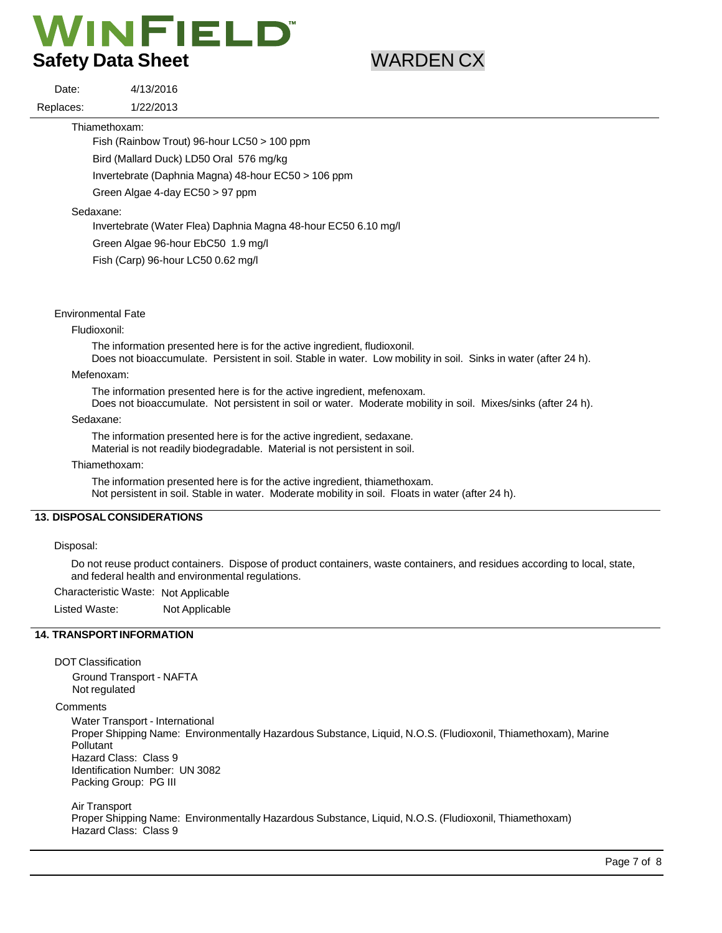4/13/2016 1/22/2013

Thiamethoxam:

Date: Replaces:

Fish (Rainbow Trout) 96-hour LC50 > 100 ppm

Bird (Mallard Duck) LD50 Oral 576 mg/kg

Invertebrate (Daphnia Magna) 48-hour EC50 > 106 ppm

Green Algae 4-day EC50 > 97 ppm

Sedaxane:

Invertebrate (Water Flea) Daphnia Magna 48-hour EC50 6.10 mg/l

Green Algae 96-hour EbC50 1.9 mg/l

Fish (Carp) 96-hour LC50 0.62 mg/l

### Environmental Fate

Fludioxonil:

The information presented here is for the active ingredient, fludioxonil.

Does not bioaccumulate. Persistent in soil. Stable in water. Low mobility in soil. Sinks in water (after 24 h).

### Mefenoxam:

The information presented here is for the active ingredient, mefenoxam.

Does not bioaccumulate. Not persistent in soil or water. Moderate mobility in soil. Mixes/sinks (after 24 h).

Sedaxane:

The information presented here is for the active ingredient, sedaxane. Material is not readily biodegradable. Material is not persistent in soil.

Thiamethoxam:

The information presented here is for the active ingredient, thiamethoxam. Not persistent in soil. Stable in water. Moderate mobility in soil. Floats in water (after 24 h).

# **13. DISPOSAL CONSIDERATIONS**

#### Disposal:

Do not reuse product containers. Dispose of product containers, waste containers, and residues according to local, state, and federal health and environmental regulations.

Characteristic Waste: Not Applicable

Listed Waste: Not Applicable

### **14. TRANSPORT INFORMATION**

### DOT Classification

Ground Transport - NAFTA Not regulated

### **Comments**

Water Transport - International Proper Shipping Name: Environmentally Hazardous Substance, Liquid, N.O.S. (Fludioxonil, Thiamethoxam), Marine Pollutant Hazard Class: Class 9 Identification Number: UN 3082 Packing Group: PG III

#### Air Transport

Proper Shipping Name: Environmentally Hazardous Substance, Liquid, N.O.S. (Fludioxonil, Thiamethoxam) Hazard Class: Class 9